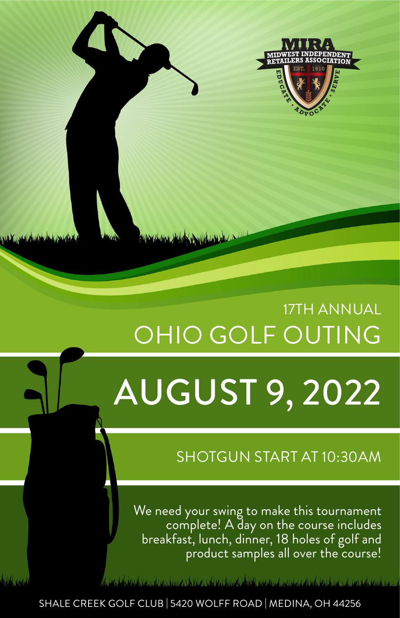

# 17TH ANNUAL OHIO GOLF OUTING

# AUGUST 9, 2022

## SHOTGUN START AT 10:30AM

We need your swing to make this tournament complete! A day on the course includes breakfast, lunch, dinner, 18 holes of golf and product samples all over the course!

<u>A revision the community of the community of the spectral and and sockietic collar to the co</u>

SHALE CREEK GOLF CLUB | 5420 WOLFF ROAD | MEDINA, OH 44256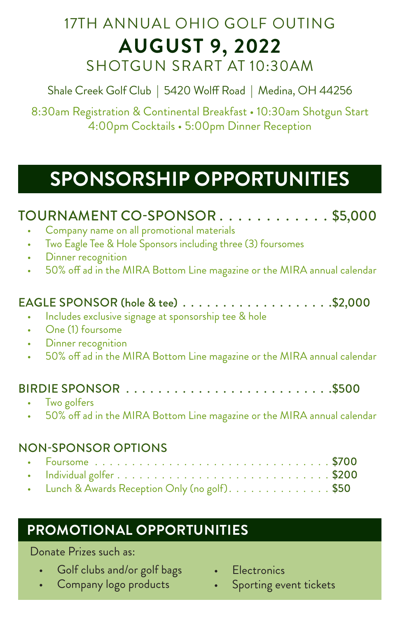## 17TH ANNUAL OHIO GOLF OUTING **AUGUST 9, 2022** SHOTGUN SRART AT 10:30AM

Shale Creek Golf Club | 5420 Wolff Road | Medina, OH 44256

8:30am Registration & Continental Breakfast • 10:30am Shotgun Start 4:00pm Cocktails • 5:00pm Dinner Reception

## **SPONSORSHIP OPPORTUNITIES**

| TOURNAMENT CO-SPONSOR\$5,000                                                         |
|--------------------------------------------------------------------------------------|
| Company name on all promotional materials                                            |
| Two Eagle Tee & Hole Sponsors including three (3) foursomes<br>$\bullet$             |
| Dinner recognition<br>$\bullet$                                                      |
| 50% off ad in the MIRA Bottom Line magazine or the MIRA annual calendar<br>$\bullet$ |
|                                                                                      |
| Includes exclusive signage at sponsorship tee & hole                                 |
| One (1) foursome                                                                     |
| Dinner recognition<br>۰                                                              |
| 50% off ad in the MIRA Bottom Line magazine or the MIRA annual calendar<br>$\bullet$ |
|                                                                                      |
| Two golfers                                                                          |
| 50% off ad in the MIRA Bottom Line magazine or the MIRA annual calendar              |
| <b>NON-SPONSOR OPTIONS</b>                                                           |
|                                                                                      |
|                                                                                      |
|                                                                                      |
| Lunch & Awards Reception Only (no golf). \$50                                        |

## **PROMOTIONAL OPPORTUNITIES**

#### Donate Prizes such as:

- Golf clubs and/or golf bags
- Company logo products
- **Electronics**
- Sporting event tickets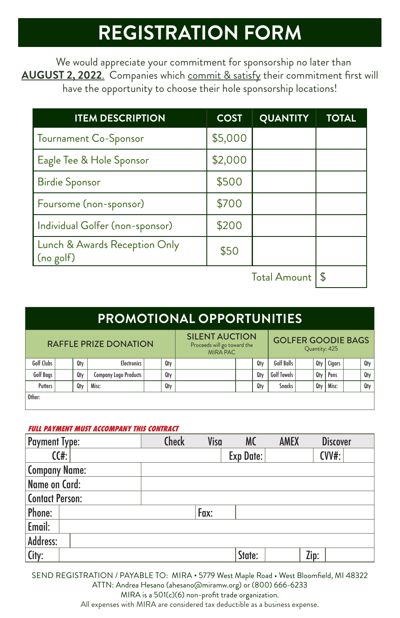# **REGISTRATION FORM**

We would appreciate your commitment for sponsorship no later than **AUGUST 2, 2022**. Companies which commit & satisfy their commitment first will have the opportunity to choose their hole sponsorship locations!

| <b>ITEM DESCRIPTION</b>                    | <b>COST</b> | <b>QUANTITY</b> | <b>TOTAL</b> |  |  |
|--------------------------------------------|-------------|-----------------|--------------|--|--|
| Tournament Co-Sponsor                      | \$5,000     |                 |              |  |  |
| Eagle Tee & Hole Sponsor                   | \$2,000     |                 |              |  |  |
| <b>Birdie Sponsor</b>                      | \$500       |                 |              |  |  |
| Foursome (non-sponsor)                     | \$700       |                 |              |  |  |
| Individual Golfer (non-sponsor)            | \$200       |                 |              |  |  |
| Lunch & Awards Reception Only<br>(no golf) | \$50        |                 |              |  |  |
| <b>Total Amount</b>                        |             |                 |              |  |  |

### **PROMOTIONAL OPPORTUNITIES**

| <b>RAFFLE PRIZE DONATION</b> |  |     | <b>SILENT AUCTION</b><br>Proceeds will go toward the<br><b>MIRA PAC</b> |     |  | <b>GOLFER GOODIE BAGS</b><br>Quantity: 425 |     |                    |  |     |        |  |     |
|------------------------------|--|-----|-------------------------------------------------------------------------|-----|--|--------------------------------------------|-----|--------------------|--|-----|--------|--|-----|
| Golf Clubs                   |  | Qty | <b>Electronics</b>                                                      | Qty |  |                                            | Qtv | Golf Balls         |  | Qtv | Cigars |  | Qty |
| Golf Bags                    |  | Qtv | Company Logo Products                                                   | Qty |  |                                            | Qtv | <b>Golf Towels</b> |  | Qty | Pens   |  | Qty |
| <b>Putters</b>               |  | Qtv | Misc:                                                                   | Qty |  |                                            | Qtv | <b>Snacks</b>      |  | Qtv | Misc:  |  | Qty |
| Other:                       |  |     |                                                                         |     |  |                                            |     |                    |  |     |        |  |     |

#### **FULL PAYMENT MUST ACCOMPANY THIS CONTRACT**

| <b>Payment Type:</b>   |      | Check | Visa | <b>MC</b> | <b>AMEX</b> | <b>Discover</b> |
|------------------------|------|-------|------|-----------|-------------|-----------------|
|                        | C(f) |       |      | Exp Date: |             | $CVV#$ :        |
| <b>Company Name:</b>   |      |       |      |           |             |                 |
| Name on Card:          |      |       |      |           |             |                 |
| <b>Contact Person:</b> |      |       |      |           |             |                 |
| Phone:                 |      |       | Fax: |           |             |                 |
| Email:                 |      |       |      |           |             |                 |
| Address:               |      |       |      |           |             |                 |
| City:                  |      |       |      | State:    | Zip:        |                 |

SEND REGISTRATION / PAYABLE TO: MIRA • 5779 West Maple Road • West Bloomfield, MI 48322 ATTN: Andrea Hesano (ahesano@miramw.org) or (800) 666-6233

MIRA is a 501(c)(6) non-profit trade organization.

All expenses with MIRA are considered tax deductible as a business expense.